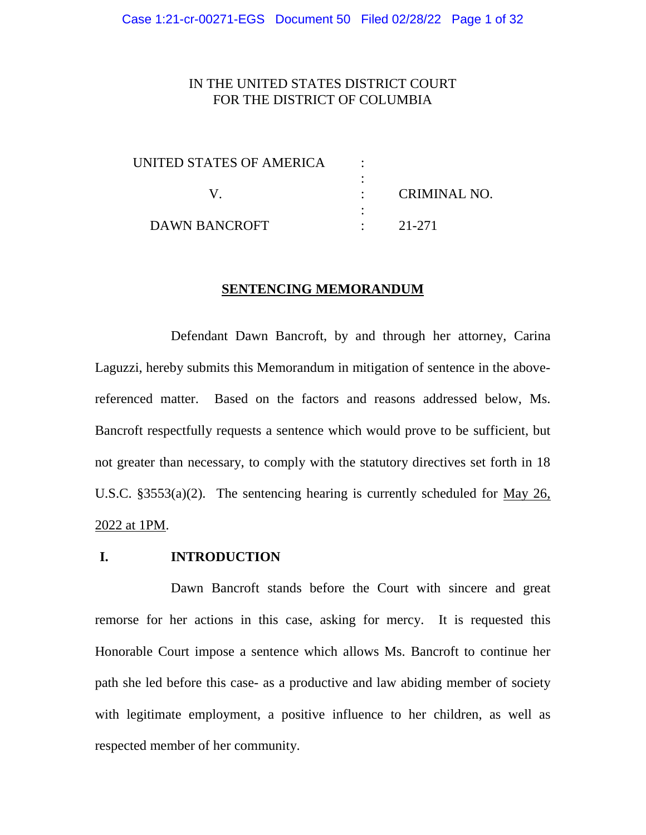# IN THE UNITED STATES DISTRICT COURT FOR THE DISTRICT OF COLUMBIA

| UNITED STATES OF AMERICA |              |
|--------------------------|--------------|
|                          |              |
|                          | CRIMINAL NO. |
|                          |              |
| DAWN BANCROFT            | 21-271       |

#### **SENTENCING MEMORANDUM**

Defendant Dawn Bancroft, by and through her attorney, Carina Laguzzi, hereby submits this Memorandum in mitigation of sentence in the abovereferenced matter. Based on the factors and reasons addressed below, Ms. Bancroft respectfully requests a sentence which would prove to be sufficient, but not greater than necessary, to comply with the statutory directives set forth in 18 U.S.C. §3553(a)(2). The sentencing hearing is currently scheduled for May 26, 2022 at 1PM.

# **I. INTRODUCTION**

Dawn Bancroft stands before the Court with sincere and great remorse for her actions in this case, asking for mercy. It is requested this Honorable Court impose a sentence which allows Ms. Bancroft to continue her path she led before this case- as a productive and law abiding member of society with legitimate employment, a positive influence to her children, as well as respected member of her community.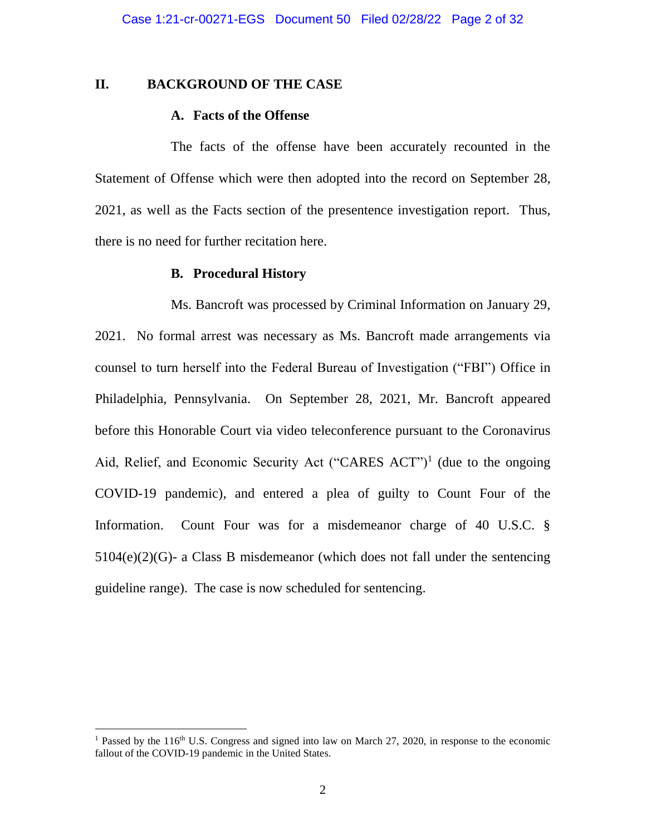### **II. BACKGROUND OF THE CASE**

#### **A. Facts of the Offense**

The facts of the offense have been accurately recounted in the Statement of Offense which were then adopted into the record on September 28, 2021, as well as the Facts section of the presentence investigation report. Thus, there is no need for further recitation here.

#### **B. Procedural History**

Ms. Bancroft was processed by Criminal Information on January 29, 2021. No formal arrest was necessary as Ms. Bancroft made arrangements via counsel to turn herself into the Federal Bureau of Investigation ("FBI") Office in Philadelphia, Pennsylvania. On September 28, 2021, Mr. Bancroft appeared before this Honorable Court via video teleconference pursuant to the Coronavirus Aid, Relief, and Economic Security Act ("CARES ACT")<sup>1</sup> (due to the ongoing COVID-19 pandemic), and entered a plea of guilty to Count Four of the Information. Count Four was for a misdemeanor charge of 40 U.S.C. § 5104(e)(2)(G)- a Class B misdemeanor (which does not fall under the sentencing guideline range). The case is now scheduled for sentencing.

<sup>&</sup>lt;sup>1</sup> Passed by the 116<sup>th</sup> U.S. Congress and signed into law on March 27, 2020, in response to the economic fallout of the COVID-19 pandemic in the United States.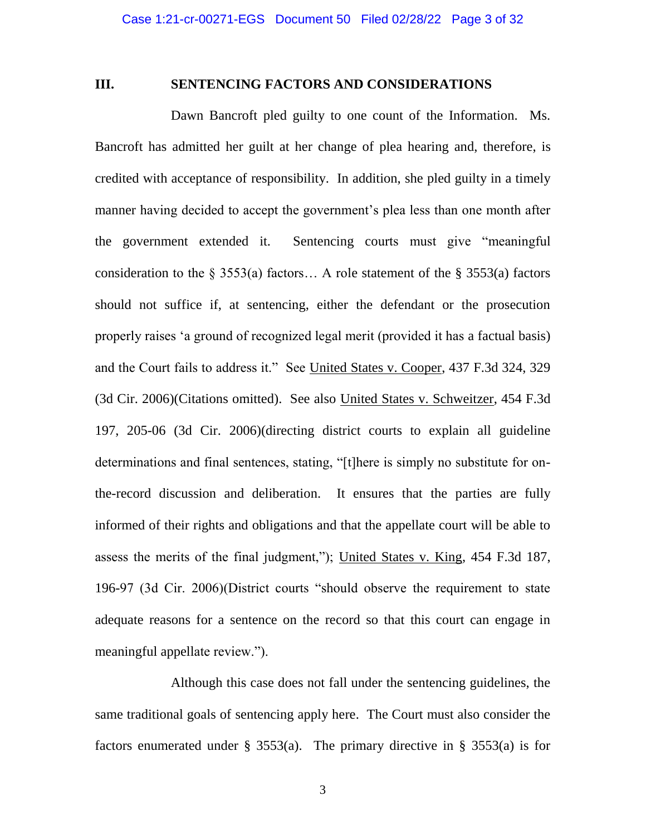### **III. SENTENCING FACTORS AND CONSIDERATIONS**

Dawn Bancroft pled guilty to one count of the Information. Ms. Bancroft has admitted her guilt at her change of plea hearing and, therefore, is credited with acceptance of responsibility. In addition, she pled guilty in a timely manner having decided to accept the government's plea less than one month after the government extended it. Sentencing courts must give "meaningful consideration to the  $\S$  3553(a) factors... A role statement of the  $\S$  3553(a) factors should not suffice if, at sentencing, either the defendant or the prosecution properly raises 'a ground of recognized legal merit (provided it has a factual basis) and the Court fails to address it." See United States v. Cooper, 437 F.3d 324, 329 (3d Cir. 2006)(Citations omitted). See also United States v. Schweitzer, 454 F.3d 197, 205-06 (3d Cir. 2006)(directing district courts to explain all guideline determinations and final sentences, stating, "[t]here is simply no substitute for onthe-record discussion and deliberation. It ensures that the parties are fully informed of their rights and obligations and that the appellate court will be able to assess the merits of the final judgment,"); United States v. King, 454 F.3d 187, 196-97 (3d Cir. 2006)(District courts "should observe the requirement to state adequate reasons for a sentence on the record so that this court can engage in meaningful appellate review.").

Although this case does not fall under the sentencing guidelines, the same traditional goals of sentencing apply here. The Court must also consider the factors enumerated under § 3553(a). The primary directive in § 3553(a) is for

3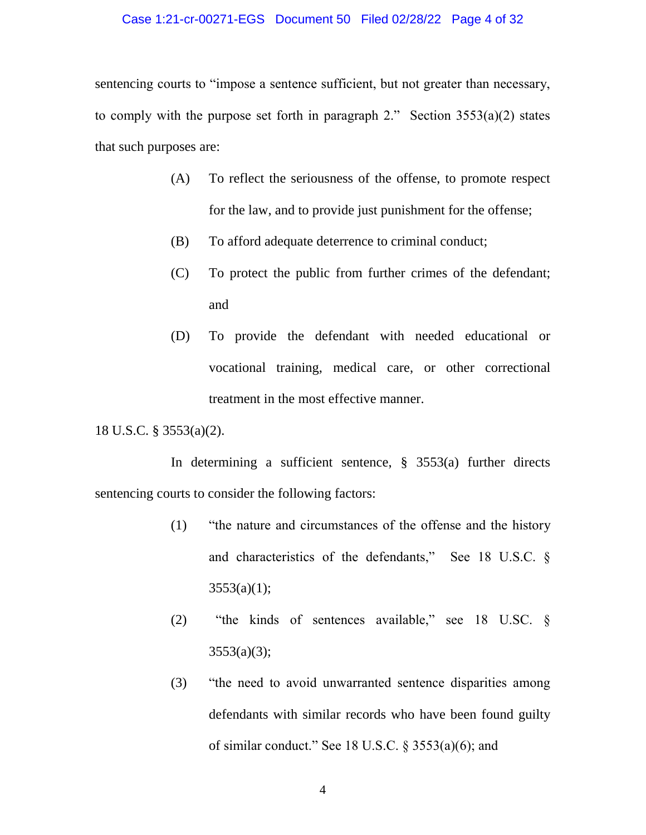#### Case 1:21-cr-00271-EGS Document 50 Filed 02/28/22 Page 4 of 32

sentencing courts to "impose a sentence sufficient, but not greater than necessary, to comply with the purpose set forth in paragraph 2." Section  $3553(a)(2)$  states that such purposes are:

- (A) To reflect the seriousness of the offense, to promote respect for the law, and to provide just punishment for the offense;
- (B) To afford adequate deterrence to criminal conduct;
- (C) To protect the public from further crimes of the defendant; and
- (D) To provide the defendant with needed educational or vocational training, medical care, or other correctional treatment in the most effective manner.

18 U.S.C. § 3553(a)(2).

In determining a sufficient sentence, § 3553(a) further directs sentencing courts to consider the following factors:

- (1) "the nature and circumstances of the offense and the history and characteristics of the defendants," See 18 U.S.C. §  $3553(a)(1);$
- (2) "the kinds of sentences available," see 18 U.SC. §  $3553(a)(3);$
- (3) "the need to avoid unwarranted sentence disparities among defendants with similar records who have been found guilty of similar conduct." See 18 U.S.C.  $\S$  3553(a)(6); and

4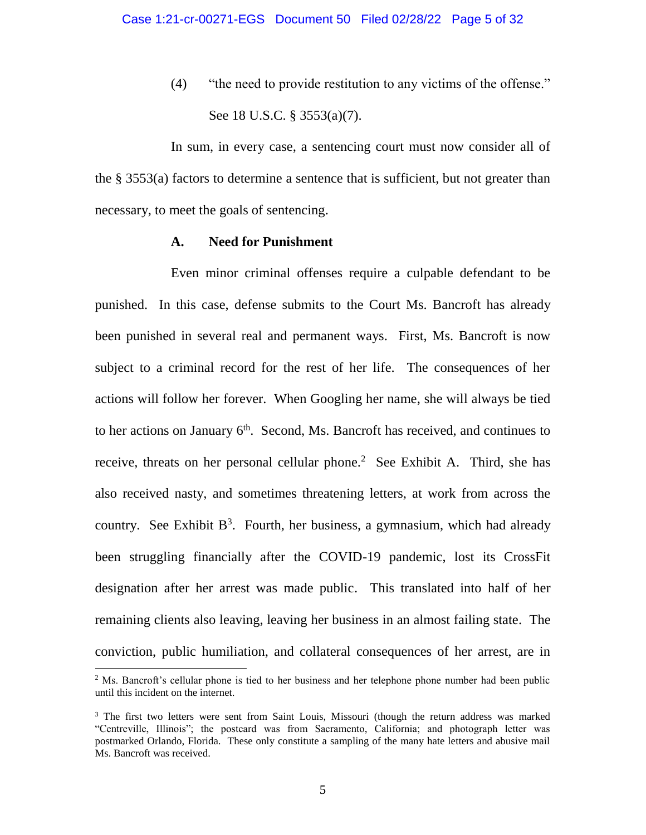(4) "the need to provide restitution to any victims of the offense." See 18 U.S.C. § 3553(a)(7).

In sum, in every case, a sentencing court must now consider all of the § 3553(a) factors to determine a sentence that is sufficient, but not greater than necessary, to meet the goals of sentencing.

### **A. Need for Punishment**

Even minor criminal offenses require a culpable defendant to be punished. In this case, defense submits to the Court Ms. Bancroft has already been punished in several real and permanent ways. First, Ms. Bancroft is now subject to a criminal record for the rest of her life. The consequences of her actions will follow her forever. When Googling her name, she will always be tied to her actions on January  $6<sup>th</sup>$ . Second, Ms. Bancroft has received, and continues to receive, threats on her personal cellular phone.<sup>2</sup> See Exhibit A. Third, she has also received nasty, and sometimes threatening letters, at work from across the country. See Exhibit  $B^3$ . Fourth, her business, a gymnasium, which had already been struggling financially after the COVID-19 pandemic, lost its CrossFit designation after her arrest was made public. This translated into half of her remaining clients also leaving, leaving her business in an almost failing state. The conviction, public humiliation, and collateral consequences of her arrest, are in

 $<sup>2</sup>$  Ms. Bancroft's cellular phone is tied to her business and her telephone phone number had been public</sup> until this incident on the internet.

<sup>&</sup>lt;sup>3</sup> The first two letters were sent from Saint Louis, Missouri (though the return address was marked "Centreville, Illinois"; the postcard was from Sacramento, California; and photograph letter was postmarked Orlando, Florida. These only constitute a sampling of the many hate letters and abusive mail Ms. Bancroft was received.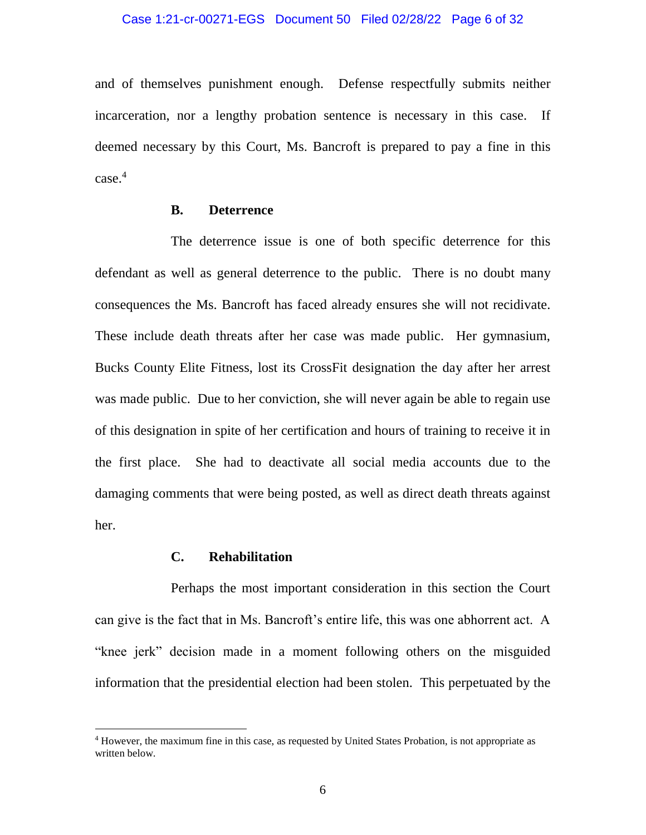and of themselves punishment enough. Defense respectfully submits neither incarceration, nor a lengthy probation sentence is necessary in this case. If deemed necessary by this Court, Ms. Bancroft is prepared to pay a fine in this case.<sup>4</sup>

### **B. Deterrence**

The deterrence issue is one of both specific deterrence for this defendant as well as general deterrence to the public. There is no doubt many consequences the Ms. Bancroft has faced already ensures she will not recidivate. These include death threats after her case was made public. Her gymnasium, Bucks County Elite Fitness, lost its CrossFit designation the day after her arrest was made public. Due to her conviction, she will never again be able to regain use of this designation in spite of her certification and hours of training to receive it in the first place. She had to deactivate all social media accounts due to the damaging comments that were being posted, as well as direct death threats against her.

## **C. Rehabilitation**

 $\overline{a}$ 

Perhaps the most important consideration in this section the Court can give is the fact that in Ms. Bancroft's entire life, this was one abhorrent act. A "knee jerk" decision made in a moment following others on the misguided information that the presidential election had been stolen. This perpetuated by the

<sup>4</sup> However, the maximum fine in this case, as requested by United States Probation, is not appropriate as written below.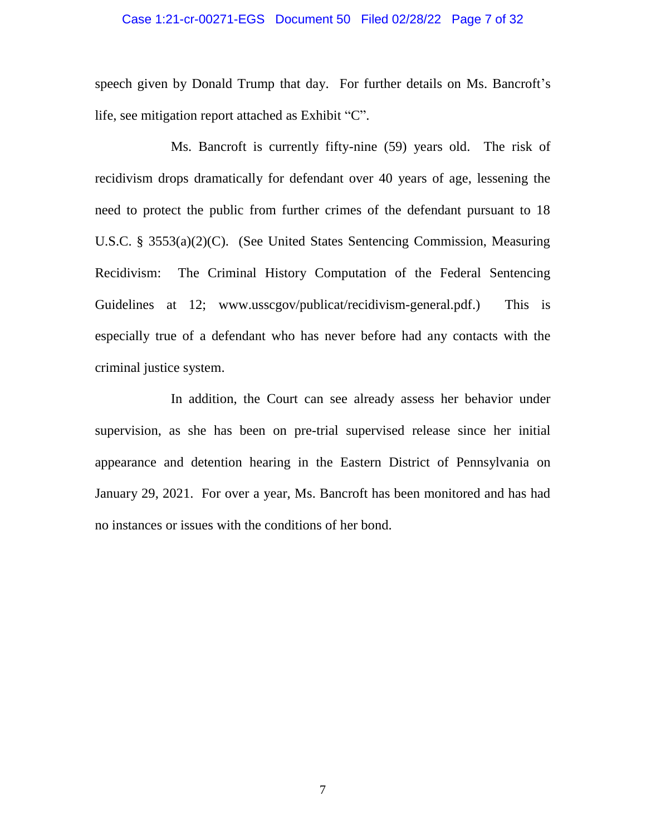# Case 1:21-cr-00271-EGS Document 50 Filed 02/28/22 Page 7 of 32

speech given by Donald Trump that day. For further details on Ms. Bancroft's life, see mitigation report attached as Exhibit "C".

Ms. Bancroft is currently fifty-nine (59) years old. The risk of recidivism drops dramatically for defendant over 40 years of age, lessening the need to protect the public from further crimes of the defendant pursuant to 18 U.S.C. § 3553(a)(2)(C). (See United States Sentencing Commission, Measuring Recidivism: The Criminal History Computation of the Federal Sentencing Guidelines at 12; [www.usscgov/publicat/recidivism-general.pdf.](www.usscgov/publicat/recidivism-general.pdf)) This is especially true of a defendant who has never before had any contacts with the criminal justice system.

In addition, the Court can see already assess her behavior under supervision, as she has been on pre-trial supervised release since her initial appearance and detention hearing in the Eastern District of Pennsylvania on January 29, 2021. For over a year, Ms. Bancroft has been monitored and has had no instances or issues with the conditions of her bond.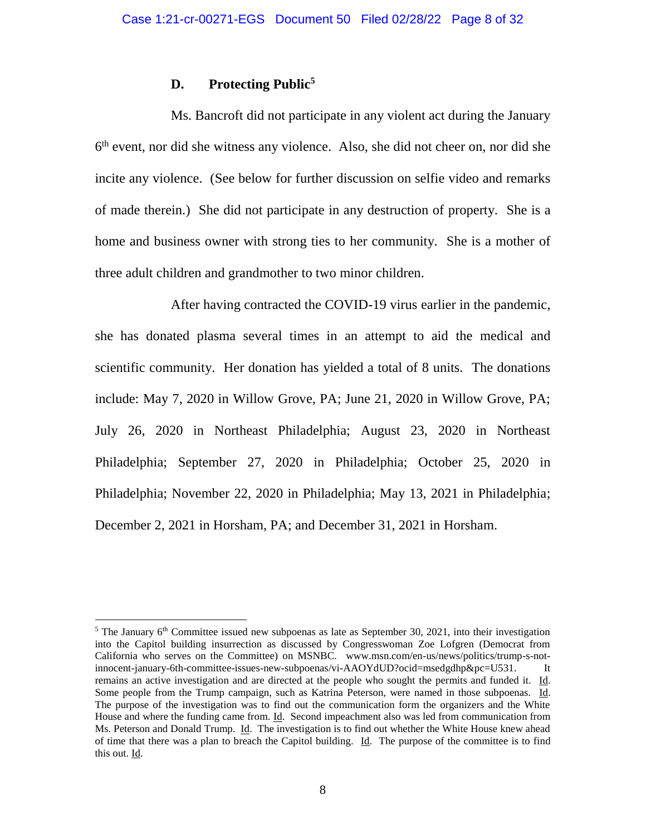### **D. Protecting Public<sup>5</sup>**

Ms. Bancroft did not participate in any violent act during the January 6<sup>th</sup> event, nor did she witness any violence. Also, she did not cheer on, nor did she incite any violence. (See below for further discussion on selfie video and remarks of made therein.) She did not participate in any destruction of property. She is a home and business owner with strong ties to her community. She is a mother of three adult children and grandmother to two minor children.

After having contracted the COVID-19 virus earlier in the pandemic, she has donated plasma several times in an attempt to aid the medical and scientific community. Her donation has yielded a total of 8 units. The donations include: May 7, 2020 in Willow Grove, PA; June 21, 2020 in Willow Grove, PA; July 26, 2020 in Northeast Philadelphia; August 23, 2020 in Northeast Philadelphia; September 27, 2020 in Philadelphia; October 25, 2020 in Philadelphia; November 22, 2020 in Philadelphia; May 13, 2021 in Philadelphia; December 2, 2021 in Horsham, PA; and December 31, 2021 in Horsham.

<sup>&</sup>lt;sup>5</sup> The January  $6<sup>th</sup>$  Committee issued new subpoenas as late as September 30, 2021, into their investigation into the Capitol building insurrection as discussed by Congresswoman Zoe Lofgren (Democrat from California who serves on the Committee) on MSNBC. www.msn.com/en-us/news/politics/trump-s-notinnocent-january-6th-committee-issues-new-subpoenas/vi-AAOYdUD?ocid=msedgdhp&pc=U531. It remains an active investigation and are directed at the people who sought the permits and funded it. Id. Some people from the Trump campaign, such as Katrina Peterson, were named in those subpoenas. Id. The purpose of the investigation was to find out the communication form the organizers and the White House and where the funding came from. Id. Second impeachment also was led from communication from Ms. Peterson and Donald Trump. Id. The investigation is to find out whether the White House knew ahead of time that there was a plan to breach the Capitol building. Id. The purpose of the committee is to find this out. Id.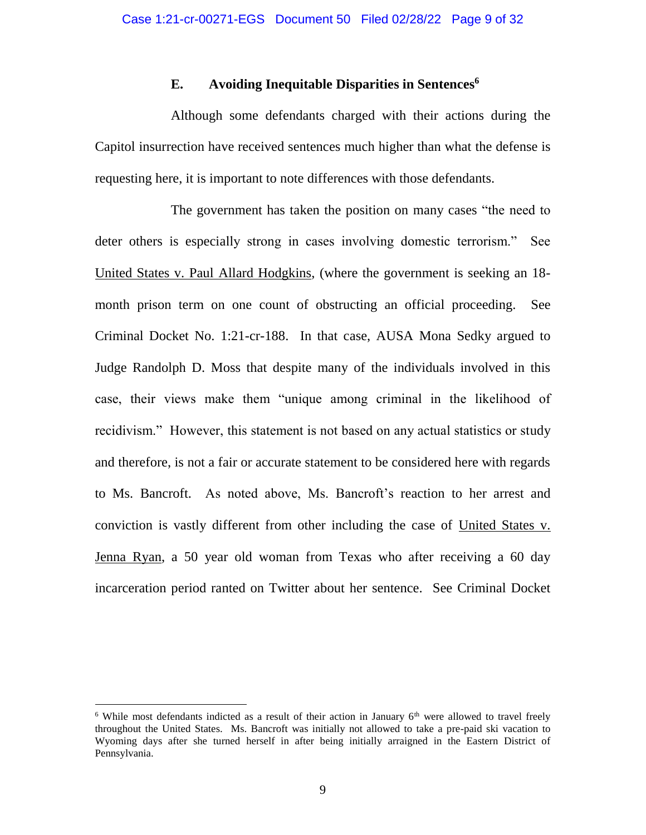### **E. Avoiding Inequitable Disparities in Sentences<sup>6</sup>**

Although some defendants charged with their actions during the Capitol insurrection have received sentences much higher than what the defense is requesting here, it is important to note differences with those defendants.

The government has taken the position on many cases "the need to deter others is especially strong in cases involving domestic terrorism." See United States v. Paul Allard Hodgkins, (where the government is seeking an 18 month prison term on one count of obstructing an official proceeding. See Criminal Docket No. 1:21-cr-188. In that case, AUSA Mona Sedky argued to Judge Randolph D. Moss that despite many of the individuals involved in this case, their views make them "unique among criminal in the likelihood of recidivism." However, this statement is not based on any actual statistics or study and therefore, is not a fair or accurate statement to be considered here with regards to Ms. Bancroft. As noted above, Ms. Bancroft's reaction to her arrest and conviction is vastly different from other including the case of United States v. Jenna Ryan, a 50 year old woman from Texas who after receiving a 60 day incarceration period ranted on Twitter about her sentence. See Criminal Docket

<sup>&</sup>lt;sup>6</sup> While most defendants indicted as a result of their action in January  $6<sup>th</sup>$  were allowed to travel freely throughout the United States. Ms. Bancroft was initially not allowed to take a pre-paid ski vacation to Wyoming days after she turned herself in after being initially arraigned in the Eastern District of Pennsylvania.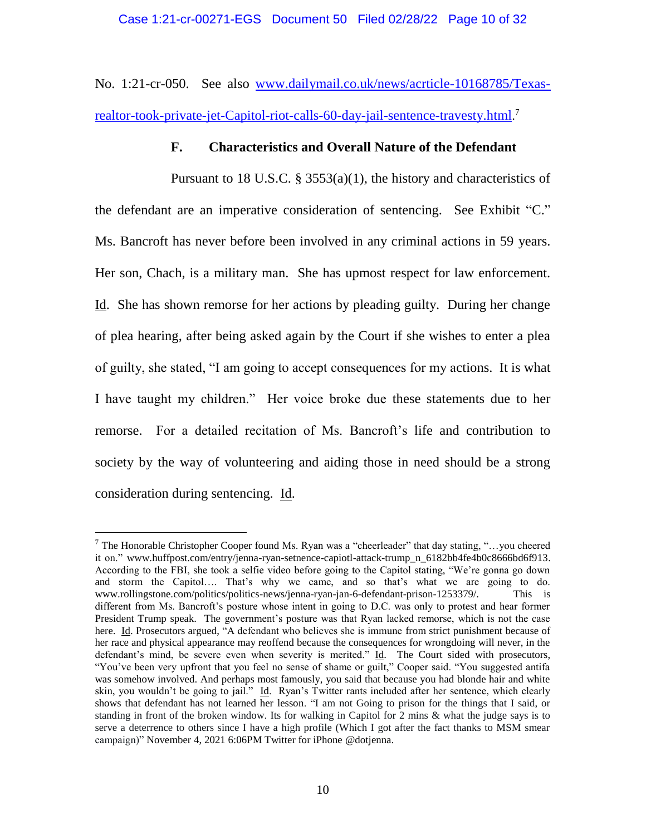No. 1:21-cr-050. See also [www.dailymail.co.uk/news/acrticle-10168785/Texas](http://www.dailymail.co.uk/news/acrticle-10168785/Texas-realtor-took-private-jet-Capitol-riot-calls-60-day-jail-sentence-travesty.html)[realtor-took-private-jet-Capitol-riot-calls-60-day-jail-sentence-travesty.html](http://www.dailymail.co.uk/news/acrticle-10168785/Texas-realtor-took-private-jet-Capitol-riot-calls-60-day-jail-sentence-travesty.html). 7

# **F. Characteristics and Overall Nature of the Defendant**

Pursuant to 18 U.S.C. § 3553(a)(1), the history and characteristics of the defendant are an imperative consideration of sentencing. See Exhibit "C." Ms. Bancroft has never before been involved in any criminal actions in 59 years. Her son, Chach, is a military man. She has upmost respect for law enforcement. Id. She has shown remorse for her actions by pleading guilty. During her change of plea hearing, after being asked again by the Court if she wishes to enter a plea of guilty, she stated, "I am going to accept consequences for my actions. It is what I have taught my children." Her voice broke due these statements due to her remorse. For a detailed recitation of Ms. Bancroft's life and contribution to society by the way of volunteering and aiding those in need should be a strong consideration during sentencing. Id.

 $7$  The Honorable Christopher Cooper found Ms. Ryan was a "cheerleader" that day stating, "...you cheered it on." [www.huffpost.com/entry/jenna-ryan-setnence-capiotl-attack-trump\\_n\\_6182bb4fe4b0c8666bd6f913.](http://www.huffpost.com/entry/jenna-ryan-setnence-capiotl-attack-trump_n_6182bb4fe4b0c8666bd6f913) According to the FBI, she took a selfie video before going to the Capitol stating, "We're gonna go down and storm the Capitol…. That's why we came, and so that's what we are going to do. [www.rollingstone.com/politics/politics-news/jenna-ryan-jan-6-defendant-prison-1253379/.](http://www.rollingstone.com/politics/politics-news/jenna-ryan-jan-6-defendant-prison-1253379/) This is different from Ms. Bancroft's posture whose intent in going to D.C. was only to protest and hear former President Trump speak. The government's posture was that Ryan lacked remorse, which is not the case here. Id. Prosecutors argued, "A defendant who believes she is immune from strict punishment because of her race and physical appearance may reoffend because the consequences for wrongdoing will never, in the defendant's mind, be severe even when severity is merited." Id. The Court sided with prosecutors, "You've been very upfront that you feel no sense of shame or guilt," Cooper said. "You suggested antifa was somehow involved. And perhaps most famously, you said that because you had blonde hair and white skin, you wouldn't be going to jail." Id. Ryan's Twitter rants included after her sentence, which clearly shows that defendant has not learned her lesson. "I am not Going to prison for the things that I said, or standing in front of the broken window. Its for walking in Capitol for 2 mins & what the judge says is to serve a deterrence to others since I have a high profile (Which I got after the fact thanks to MSM smear campaign)" November 4, 2021 6:06PM Twitter for iPhone @dotjenna.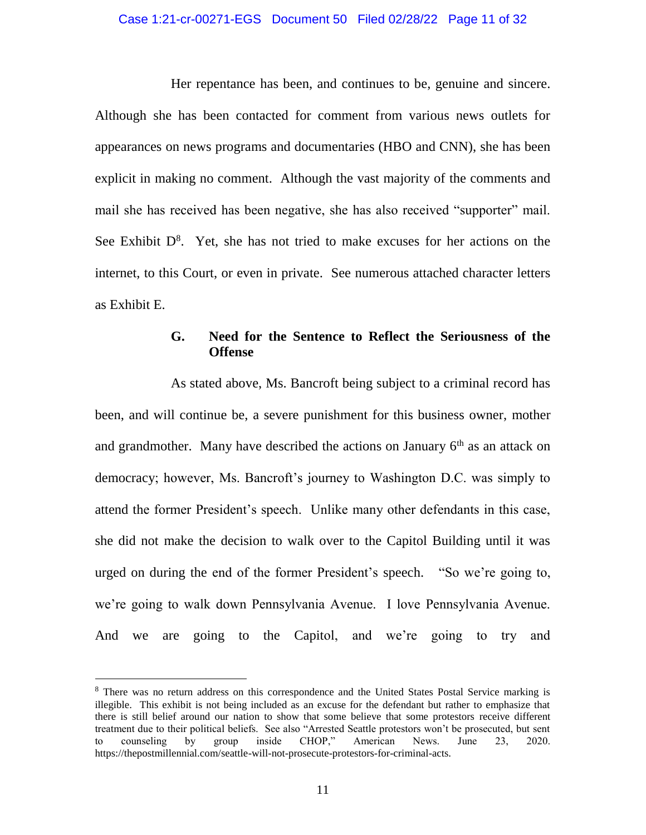#### Case 1:21-cr-00271-EGS Document 50 Filed 02/28/22 Page 11 of 32

Her repentance has been, and continues to be, genuine and sincere. Although she has been contacted for comment from various news outlets for appearances on news programs and documentaries (HBO and CNN), she has been explicit in making no comment. Although the vast majority of the comments and mail she has received has been negative, she has also received "supporter" mail. See Exhibit  $D^8$ . Yet, she has not tried to make excuses for her actions on the internet, to this Court, or even in private. See numerous attached character letters as Exhibit E.

# **G. Need for the Sentence to Reflect the Seriousness of the Offense**

As stated above, Ms. Bancroft being subject to a criminal record has been, and will continue be, a severe punishment for this business owner, mother and grandmother. Many have described the actions on January  $6<sup>th</sup>$  as an attack on democracy; however, Ms. Bancroft's journey to Washington D.C. was simply to attend the former President's speech. Unlike many other defendants in this case, she did not make the decision to walk over to the Capitol Building until it was urged on during the end of the former President's speech. "So we're going to, we're going to walk down Pennsylvania Avenue. I love Pennsylvania Avenue. And we are going to the Capitol, and we're going to try and

<sup>&</sup>lt;sup>8</sup> There was no return address on this correspondence and the United States Postal Service marking is illegible. This exhibit is not being included as an excuse for the defendant but rather to emphasize that there is still belief around our nation to show that some believe that some protestors receive different treatment due to their political beliefs. See also "Arrested Seattle protestors won't be prosecuted, but sent to counseling by group inside CHOP," American News. June 23, 2020. https://thepostmillennial.com/seattle-will-not-prosecute-protestors-for-criminal-acts.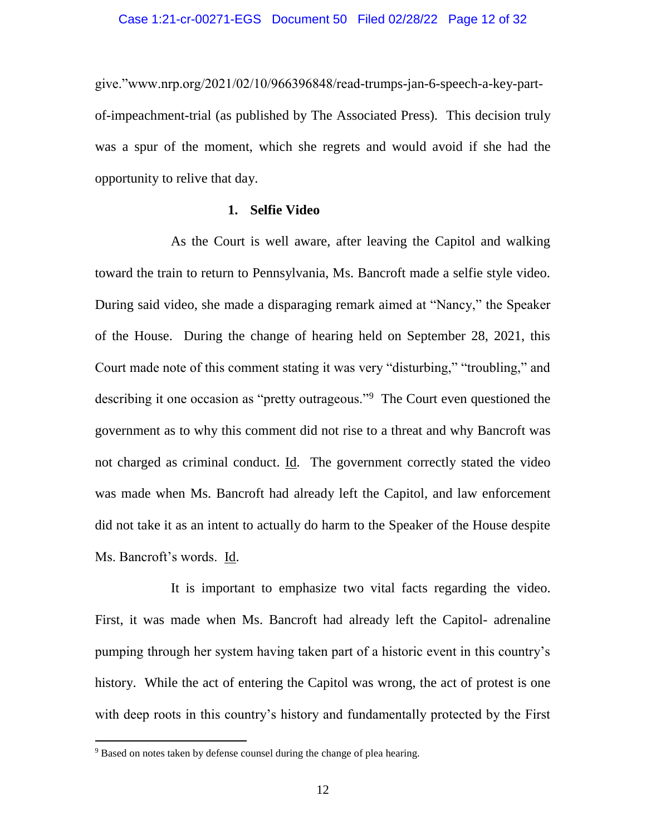give."www.nrp.org/2021/02/10/966396848/read-trumps-jan-6-speech-a-key-partof-impeachment-trial (as published by The Associated Press). This decision truly was a spur of the moment, which she regrets and would avoid if she had the opportunity to relive that day.

#### **1. Selfie Video**

As the Court is well aware, after leaving the Capitol and walking toward the train to return to Pennsylvania, Ms. Bancroft made a selfie style video. During said video, she made a disparaging remark aimed at "Nancy," the Speaker of the House. During the change of hearing held on September 28, 2021, this Court made note of this comment stating it was very "disturbing," "troubling," and describing it one occasion as "pretty outrageous."<sup>9</sup> The Court even questioned the government as to why this comment did not rise to a threat and why Bancroft was not charged as criminal conduct. Id. The government correctly stated the video was made when Ms. Bancroft had already left the Capitol, and law enforcement did not take it as an intent to actually do harm to the Speaker of the House despite Ms. Bancroft's words. Id.

It is important to emphasize two vital facts regarding the video. First, it was made when Ms. Bancroft had already left the Capitol- adrenaline pumping through her system having taken part of a historic event in this country's history. While the act of entering the Capitol was wrong, the act of protest is one with deep roots in this country's history and fundamentally protected by the First

 $9$  Based on notes taken by defense counsel during the change of plea hearing.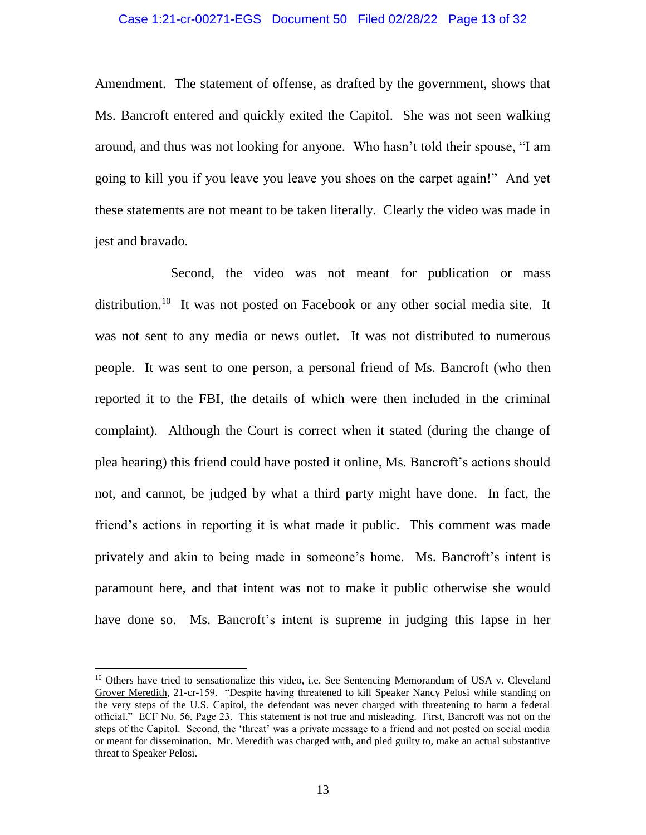#### Case 1:21-cr-00271-EGS Document 50 Filed 02/28/22 Page 13 of 32

Amendment. The statement of offense, as drafted by the government, shows that Ms. Bancroft entered and quickly exited the Capitol. She was not seen walking around, and thus was not looking for anyone. Who hasn't told their spouse, "I am going to kill you if you leave you leave you shoes on the carpet again!" And yet these statements are not meant to be taken literally. Clearly the video was made in jest and bravado.

Second, the video was not meant for publication or mass distribution.<sup>10</sup> It was not posted on Facebook or any other social media site. It was not sent to any media or news outlet. It was not distributed to numerous people. It was sent to one person, a personal friend of Ms. Bancroft (who then reported it to the FBI, the details of which were then included in the criminal complaint). Although the Court is correct when it stated (during the change of plea hearing) this friend could have posted it online, Ms. Bancroft's actions should not, and cannot, be judged by what a third party might have done. In fact, the friend's actions in reporting it is what made it public. This comment was made privately and akin to being made in someone's home. Ms. Bancroft's intent is paramount here, and that intent was not to make it public otherwise she would have done so. Ms. Bancroft's intent is supreme in judging this lapse in her

<sup>&</sup>lt;sup>10</sup> Others have tried to sensationalize this video, i.e. See Sentencing Memorandum of USA v. Cleveland Grover Meredith, 21-cr-159. "Despite having threatened to kill Speaker Nancy Pelosi while standing on the very steps of the U.S. Capitol, the defendant was never charged with threatening to harm a federal official." ECF No. 56, Page 23. This statement is not true and misleading. First, Bancroft was not on the steps of the Capitol. Second, the 'threat' was a private message to a friend and not posted on social media or meant for dissemination. Mr. Meredith was charged with, and pled guilty to, make an actual substantive threat to Speaker Pelosi.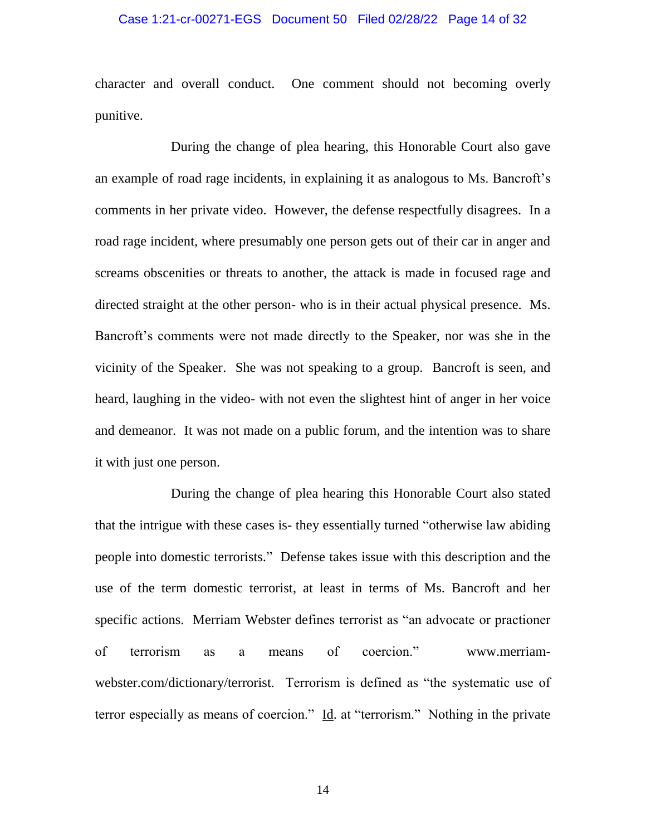#### Case 1:21-cr-00271-EGS Document 50 Filed 02/28/22 Page 14 of 32

character and overall conduct. One comment should not becoming overly punitive.

During the change of plea hearing, this Honorable Court also gave an example of road rage incidents, in explaining it as analogous to Ms. Bancroft's comments in her private video. However, the defense respectfully disagrees. In a road rage incident, where presumably one person gets out of their car in anger and screams obscenities or threats to another, the attack is made in focused rage and directed straight at the other person- who is in their actual physical presence. Ms. Bancroft's comments were not made directly to the Speaker, nor was she in the vicinity of the Speaker. She was not speaking to a group. Bancroft is seen, and heard, laughing in the video- with not even the slightest hint of anger in her voice and demeanor. It was not made on a public forum, and the intention was to share it with just one person.

During the change of plea hearing this Honorable Court also stated that the intrigue with these cases is- they essentially turned "otherwise law abiding people into domestic terrorists." Defense takes issue with this description and the use of the term domestic terrorist, at least in terms of Ms. Bancroft and her specific actions. Merriam Webster defines terrorist as "an advocate or practioner of terrorism as a means of coercion." [www.merriam](http://www.merriam-webster.com/dictionary/terrorist)[webster.com/dictionary/terrorist.](http://www.merriam-webster.com/dictionary/terrorist) Terrorism is defined as "the systematic use of terror especially as means of coercion." Id. at "terrorism." Nothing in the private

14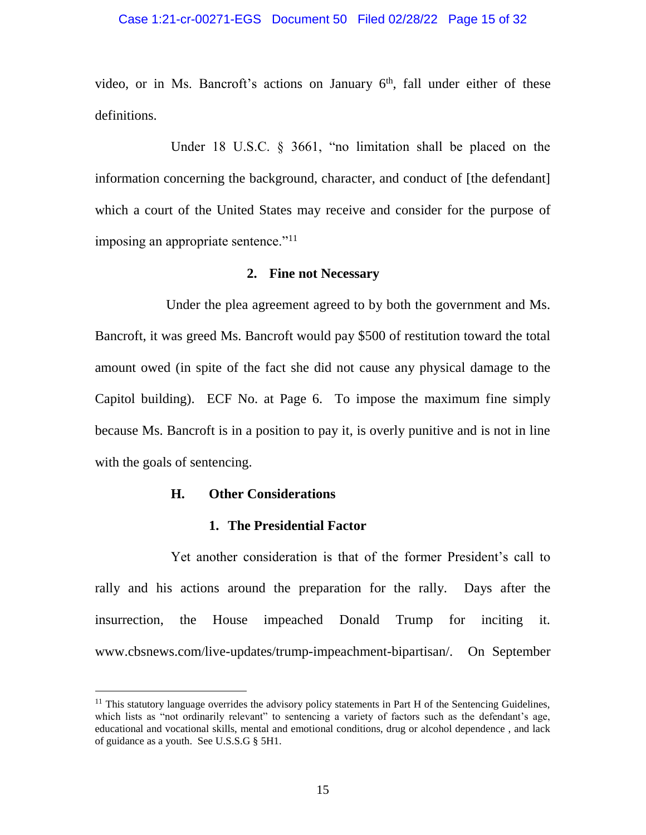#### Case 1:21-cr-00271-EGS Document 50 Filed 02/28/22 Page 15 of 32

video, or in Ms. Bancroft's actions on January 6<sup>th</sup>, fall under either of these definitions.

Under 18 U.S.C. § 3661, "no limitation shall be placed on the information concerning the background, character, and conduct of [the defendant] which a court of the United States may receive and consider for the purpose of imposing an appropriate sentence."<sup>11</sup>

### **2. Fine not Necessary**

Under the plea agreement agreed to by both the government and Ms. Bancroft, it was greed Ms. Bancroft would pay \$500 of restitution toward the total amount owed (in spite of the fact she did not cause any physical damage to the Capitol building). ECF No. at Page 6. To impose the maximum fine simply because Ms. Bancroft is in a position to pay it, is overly punitive and is not in line with the goals of sentencing.

#### **H. Other Considerations**

 $\overline{a}$ 

#### **1. The Presidential Factor**

Yet another consideration is that of the former President's call to rally and his actions around the preparation for the rally. Days after the insurrection, the House impeached Donald Trump for inciting it. www.cbsnews.com/live-updates/trump-impeachment-bipartisan/. On September

 $11$  This statutory language overrides the advisory policy statements in Part H of the Sentencing Guidelines, which lists as "not ordinarily relevant" to sentencing a variety of factors such as the defendant's age, educational and vocational skills, mental and emotional conditions, drug or alcohol dependence , and lack of guidance as a youth. See U.S.S.G § 5H1.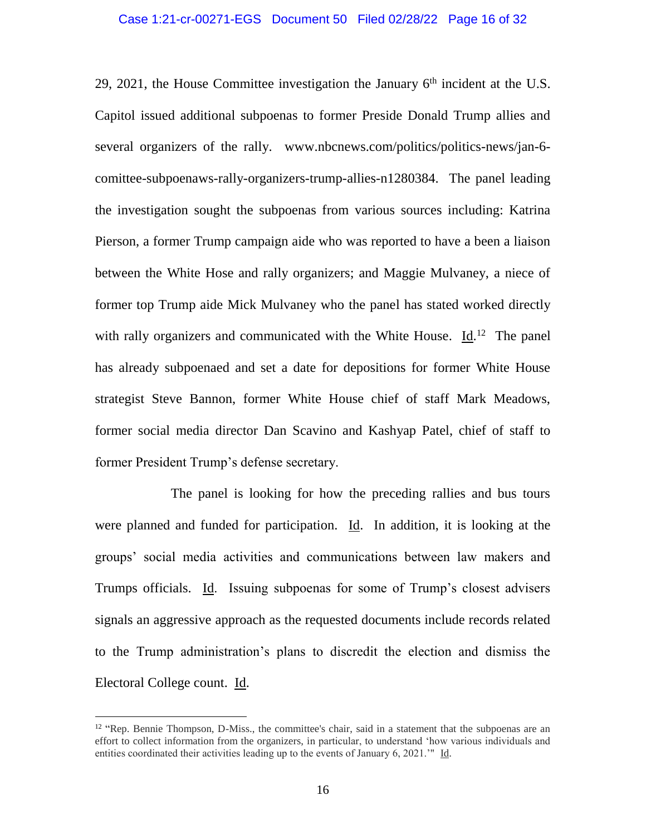29, 2021, the House Committee investigation the January  $6<sup>th</sup>$  incident at the U.S. Capitol issued additional subpoenas to former Preside Donald Trump allies and several organizers of the rally. [www.nbcnews.com/politics/politics-news/jan-6](http://www.nbcnews.com/politics/politics-news/jan-6-comittee-subpoenaws-rally-organizers-trump-allies-n1280384) [comittee-subpoenaws-rally-organizers-trump-allies-n1280384.](http://www.nbcnews.com/politics/politics-news/jan-6-comittee-subpoenaws-rally-organizers-trump-allies-n1280384) The panel leading the investigation sought the subpoenas from various sources including: Katrina Pierson, a former Trump campaign aide who was reported to have a been a liaison between the White Hose and rally organizers; and Maggie Mulvaney, a niece of former top Trump aide Mick Mulvaney who the panel has stated worked directly with rally organizers and communicated with the White House.  $\underline{Id}$ .<sup>12</sup> The panel has already subpoenaed and set a date for depositions for former White House strategist Steve Bannon, former White House chief of staff Mark Meadows, former social media director Dan Scavino and Kashyap Patel, chief of staff to former President Trump's defense secretary.

The panel is looking for how the preceding rallies and bus tours were planned and funded for participation. Id. In addition, it is looking at the groups' social media activities and communications between law makers and Trumps officials. Id. Issuing subpoenas for some of Trump's closest advisers signals an aggressive approach as the requested documents include records related to the Trump administration's plans to discredit the election and dismiss the Electoral College count. Id.

<sup>&</sup>lt;sup>12</sup> "Rep. Bennie Thompson, D-Miss., the committee's chair, said in a statement that the subpoenas are an effort to collect information from the organizers, in particular, to understand 'how various individuals and entities coordinated their activities leading up to the events of January 6, 2021.'" Id.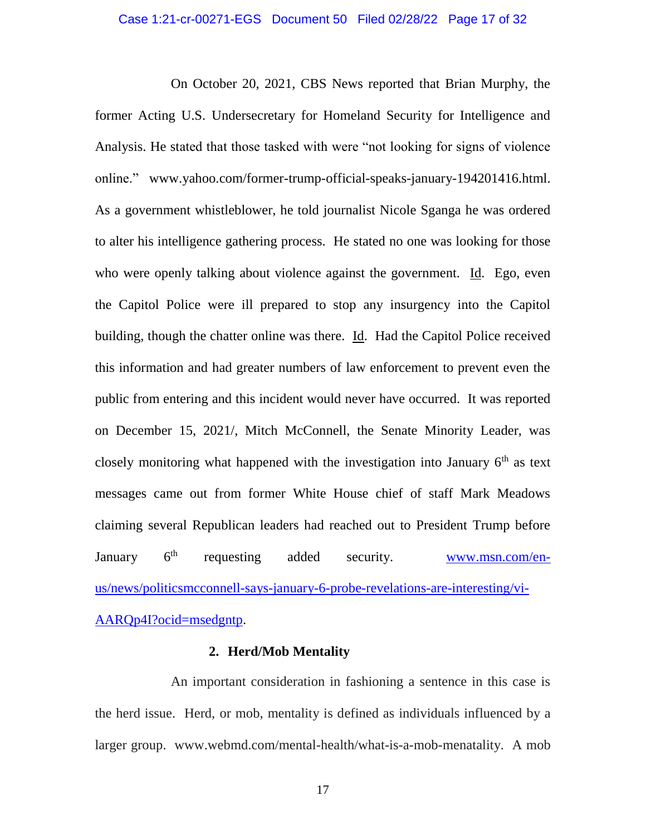#### Case 1:21-cr-00271-EGS Document 50 Filed 02/28/22 Page 17 of 32

On October 20, 2021, CBS News reported that Brian Murphy, the former Acting U.S. Undersecretary for Homeland Security for Intelligence and Analysis. He stated that those tasked with were "not looking for signs of violence online." [www.yahoo.com/former-trump-official-speaks-january-194201416.html.](http://www.yahoo.com/former-trump-official-speaks-january-194201416.html) As a government whistleblower, he told journalist Nicole Sganga he was ordered to alter his intelligence gathering process. He stated no one was looking for those who were openly talking about violence against the government. Id. Ego, even the Capitol Police were ill prepared to stop any insurgency into the Capitol building, though the chatter online was there. Id. Had the Capitol Police received this information and had greater numbers of law enforcement to prevent even the public from entering and this incident would never have occurred. It was reported on December 15, 2021/, Mitch McConnell, the Senate Minority Leader, was closely monitoring what happened with the investigation into January  $6<sup>th</sup>$  as text messages came out from former White House chief of staff Mark Meadows claiming several Republican leaders had reached out to President Trump before January 6<sup>th</sup> requesting added security. [www.msn.com/en](http://www.msn.com/en-us/news/politicsmcconnell-says-january-6-probe-revelations-are-interesting/vi-AARQp4I?ocid=msedgntp)[us/news/politicsmcconnell-says-january-6-probe-revelations-are-interesting/vi-](http://www.msn.com/en-us/news/politicsmcconnell-says-january-6-probe-revelations-are-interesting/vi-AARQp4I?ocid=msedgntp)[AARQp4I?ocid=msedgntp.](http://www.msn.com/en-us/news/politicsmcconnell-says-january-6-probe-revelations-are-interesting/vi-AARQp4I?ocid=msedgntp)

# **2. Herd/Mob Mentality**

An important consideration in fashioning a sentence in this case is the herd issue. Herd, or mob, mentality is defined as individuals influenced by a larger group. www.webmd.com/mental-health/what-is-a-mob-menatality. A mob

17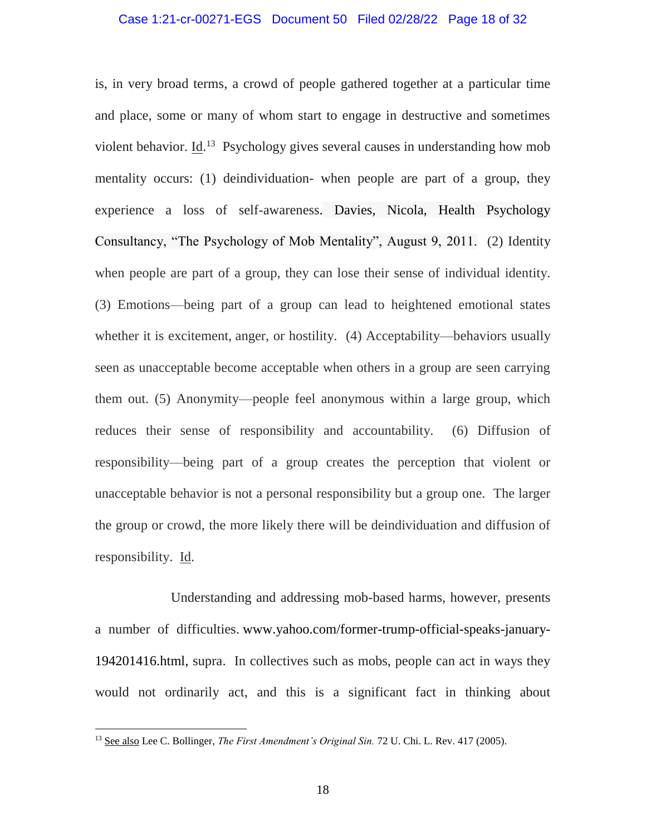is, in very broad terms, a crowd of people gathered together at a particular time and place, some or many of whom start to engage in destructive and sometimes violent behavior.  $\underline{Id}$ <sup>13</sup> Psychology gives several causes in understanding how mob mentality occurs: (1) deindividuation- when people are part of a group, they experience a loss of self-awareness. Davies, Nicola, Health Psychology Consultancy, "The Psychology of Mob Mentality", August 9, 2011. (2) Identity when people are part of a group, they can lose their sense of individual identity. (3) Emotions—being part of a group can lead to heightened emotional states whether it is excitement, [anger,](https://www.psychologytoday.com/us/basics/anger) or hostility. (4) Acceptability—behaviors usually seen as unacceptable become acceptable when others in a group are seen carrying them out. (5) Anonymity—people feel anonymous within a large group, which reduces their sense of responsibility and accountability. (6) Diffusion of responsibility—being part of a group creates the perception that violent or unacceptable behavior is not a personal responsibility but a group one. The larger the group or crowd, the more likely there will be deindividuation and diffusion of responsibility. Id.

Understanding and addressing mob-based harms, however, presents a number of difficulties. [www.yahoo.com/former-trump-official-speaks-january-](http://www.yahoo.com/former-trump-official-speaks-january-194201416.html)[194201416.html,](http://www.yahoo.com/former-trump-official-speaks-january-194201416.html) supra. In collectives such as mobs, people can act in ways they would not ordinarily act, and this is a significant fact in thinking about

<sup>13</sup> See also Lee C. Bollinger, *The First Amendment's Original Sin.* 72 U. Chi. L. Rev. 417 (2005).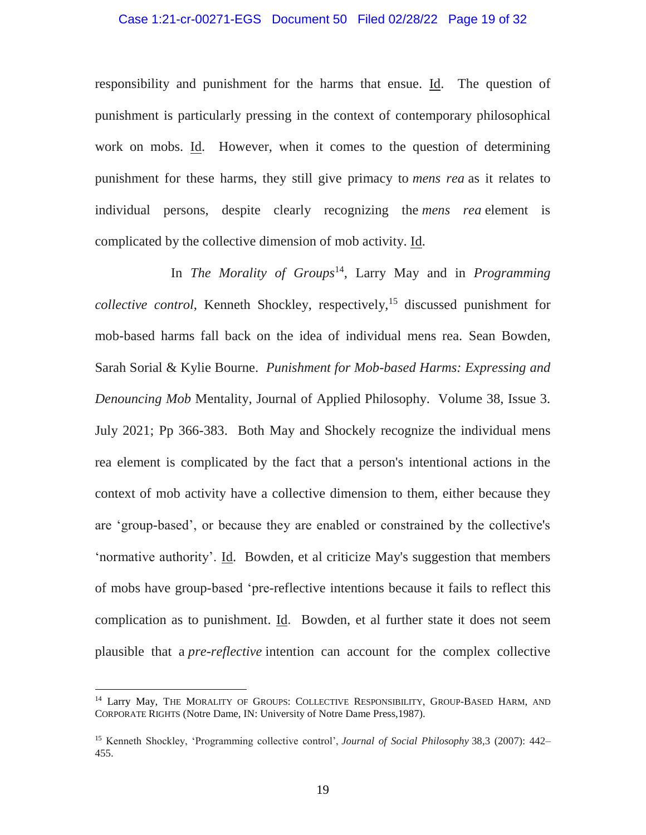#### Case 1:21-cr-00271-EGS Document 50 Filed 02/28/22 Page 19 of 32

responsibility and punishment for the harms that ensue. Id. The question of punishment is particularly pressing in the context of contemporary philosophical work on mobs. Id. However, when it comes to the question of determining punishment for these harms, they still give primacy to *mens rea* as it relates to individual persons, despite clearly recognizing the *mens rea* element is complicated by the collective dimension of mob activity. Id.

In *The Morality of Groups*<sup>14</sup> , Larry May and in *Programming collective control*, Kenneth Shockley, respectively,<sup>15</sup> discussed punishment for mob-based harms fall back on the idea of individual mens rea. Sean Bowden, Sarah Sorial & Kylie Bourne. *Punishment for Mob-based Harms: Expressing and Denouncing Mob* Mentality, Journal of Applied Philosophy. Volume 38, Issue 3. July 2021; Pp 366-383. Both May and Shockely recognize the individual mens rea element is complicated by the fact that a person's intentional actions in the context of mob activity have a collective dimension to them, either because they are 'group-based', or because they are enabled or constrained by the collective's 'normative authority'. Id. Bowden, et al criticize May's suggestion that members of mobs have group-based 'pre-reflective intentions because it fails to reflect this complication as to punishment. Id. Bowden, et al further state it does not seem plausible that a *pre-reflective* intention can account for the complex collective

<sup>&</sup>lt;sup>14</sup> Larry May, THE MORALITY OF GROUPS: COLLECTIVE RESPONSIBILITY, GROUP-BASED HARM, AND CORPORATE RIGHTS (Notre Dame, IN: University of Notre Dame Press,1987).

<sup>15</sup> Kenneth Shockley, 'Programming collective control', *Journal of Social Philosophy* 38,3 (2007): 442– 455.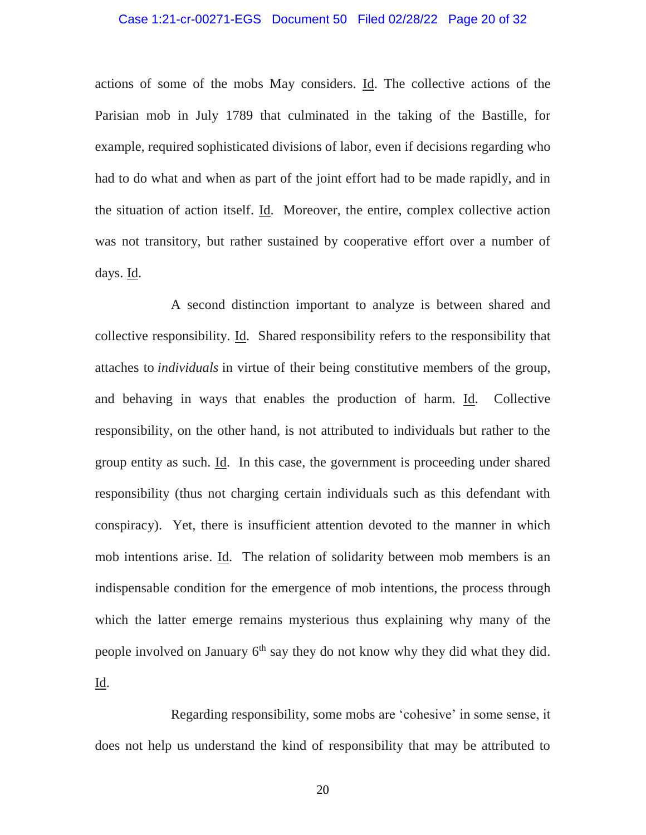### Case 1:21-cr-00271-EGS Document 50 Filed 02/28/22 Page 20 of 32

actions of some of the mobs May considers. Id. The collective actions of the Parisian mob in July 1789 that culminated in the taking of the Bastille, for example, required sophisticated divisions of labor, even if decisions regarding who had to do what and when as part of the joint effort had to be made rapidly, and in the situation of action itself. Id. Moreover, the entire, complex collective action was not transitory, but rather sustained by cooperative effort over a number of days. Id.

A second distinction important to analyze is between shared and collective responsibility. Id. Shared responsibility refers to the responsibility that attaches to *individuals* in virtue of their being constitutive members of the group, and behaving in ways that enables the production of harm. Id. Collective responsibility, on the other hand, is not attributed to individuals but rather to the group entity as such. Id. In this case, the government is proceeding under shared responsibility (thus not charging certain individuals such as this defendant with conspiracy). Yet, there is insufficient attention devoted to the manner in which mob intentions arise. Id. The relation of solidarity between mob members is an indispensable condition for the emergence of mob intentions, the process through which the latter emerge remains mysterious thus explaining why many of the people involved on January 6<sup>th</sup> say they do not know why they did what they did. Id.

Regarding responsibility, some mobs are 'cohesive' in some sense, it does not help us understand the kind of responsibility that may be attributed to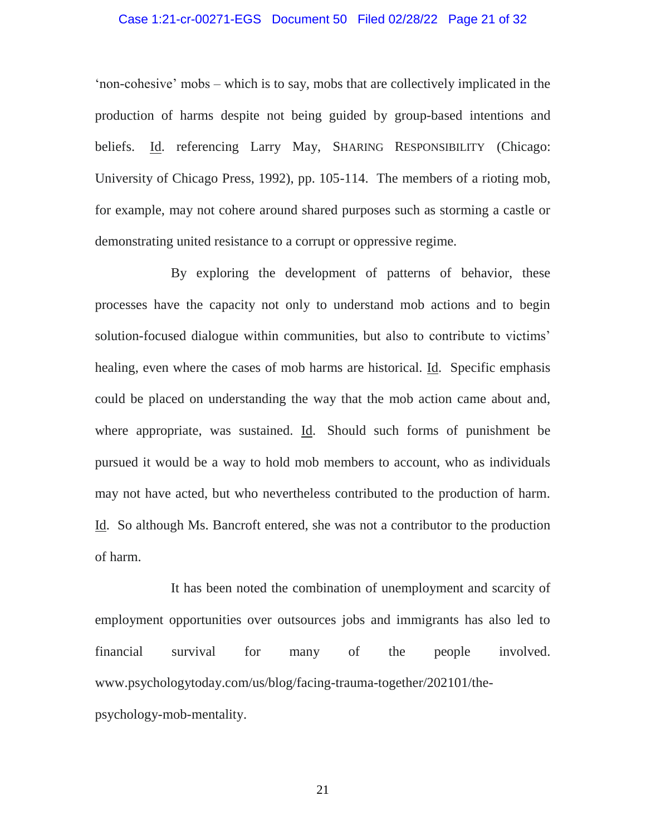### Case 1:21-cr-00271-EGS Document 50 Filed 02/28/22 Page 21 of 32

'non-cohesive' mobs – which is to say, mobs that are collectively implicated in the production of harms despite not being guided by group-based intentions and beliefs. Id. referencing Larry May, SHARING RESPONSIBILITY (Chicago: University of Chicago Press, 1992), pp. 105-114. The members of a rioting mob, for example, may not cohere around shared purposes such as storming a castle or demonstrating united resistance to a corrupt or oppressive regime.

By exploring the development of patterns of behavior, these processes have the capacity not only to understand mob actions and to begin solution-focused dialogue within communities, but also to contribute to victims' healing, even where the cases of mob harms are historical. Id. Specific emphasis could be placed on understanding the way that the mob action came about and, where appropriate, was sustained. Id. Should such forms of punishment be pursued it would be a way to hold mob members to account, who as individuals may not have acted, but who nevertheless contributed to the production of harm. Id. So although Ms. Bancroft entered, she was not a contributor to the production of harm.

It has been noted the combination of unemployment and scarcity of employment opportunities over outsources jobs and immigrants has also led to financial survival for many of the people involved. www.psychologytoday.com/us/blog/facing-trauma-together/202101/thepsychology-mob-mentality.

21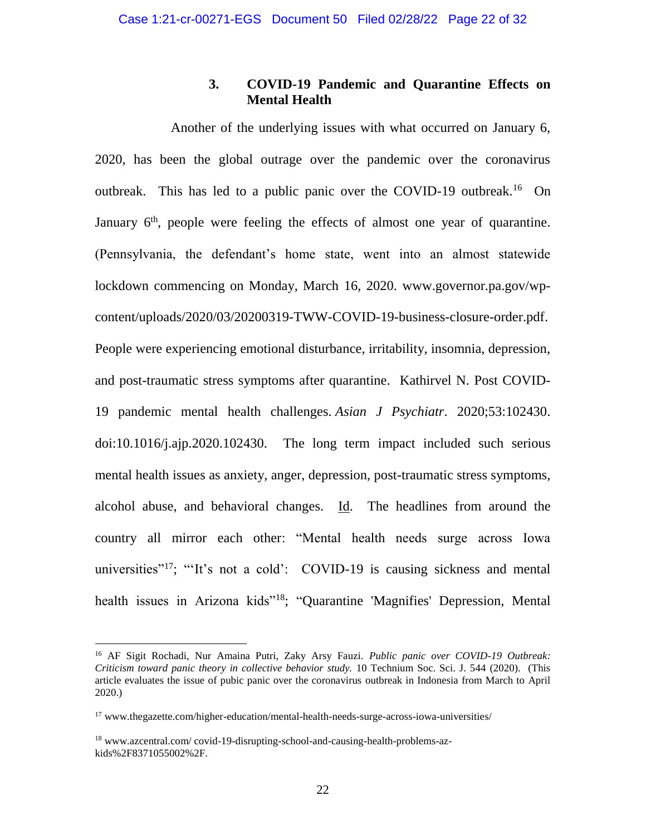# **3. COVID-19 Pandemic and Quarantine Effects on Mental Health**

Another of the underlying issues with what occurred on January 6, 2020, has been the global outrage over the pandemic over the coronavirus outbreak. This has led to a public panic over the COVID-19 outbreak.<sup>16</sup> On January  $6<sup>th</sup>$ , people were feeling the effects of almost one year of quarantine. (Pennsylvania, the defendant's home state, went into an almost statewide lockdown commencing on Monday, March 16, 2020. [www.governor.pa.gov/wp](www.governor.pa.gov/wp-content/uploads/2020/03/20200319-TWW-COVID-19-business-closure-order.pdf)[content/uploads/2020/03/20200319-TWW-COVID-19-business-closure-order.pdf.](www.governor.pa.gov/wp-content/uploads/2020/03/20200319-TWW-COVID-19-business-closure-order.pdf) People were experiencing emotional disturbance, irritability, insomnia, depression, and post-traumatic stress symptoms after quarantine. Kathirvel N. Post COVID-19 pandemic mental health challenges. *Asian J Psychiatr*. 2020;53:102430. doi:10.1016/j.ajp.2020.102430. The long term impact included such serious mental health issues as anxiety, anger, depression, post-traumatic stress symptoms, alcohol abuse, and behavioral changes. Id. The headlines from around the country all mirror each other: "Mental health needs surge across Iowa universities"<sup>17</sup>; "It's not a cold': COVID-19 is causing sickness and mental health issues in Arizona kids"<sup>18</sup>; "Quarantine 'Magnifies' Depression, Mental

<sup>16</sup> AF Sigit Rochadi, Nur Amaina Putri, Zaky Arsy Fauzi. *Public panic over COVID-19 Outbreak: Criticism toward panic theory in collective behavior study.* 10 Technium Soc. Sci. J. 544 (2020). (This article evaluates the issue of pubic panic over the coronavirus outbreak in Indonesia from March to April 2020.)

<sup>17</sup> [www.thegazette.com/higher-education/mental-health-needs-surge-across-iowa-universities/](http://www.thegazette.com/higher-education/mental-health-needs-surge-across-iowa-universities/)

<sup>18</sup> www.azcentral.com/ covid-19-disrupting-school-and-causing-health-problems-azkids%2F8371055002%2F.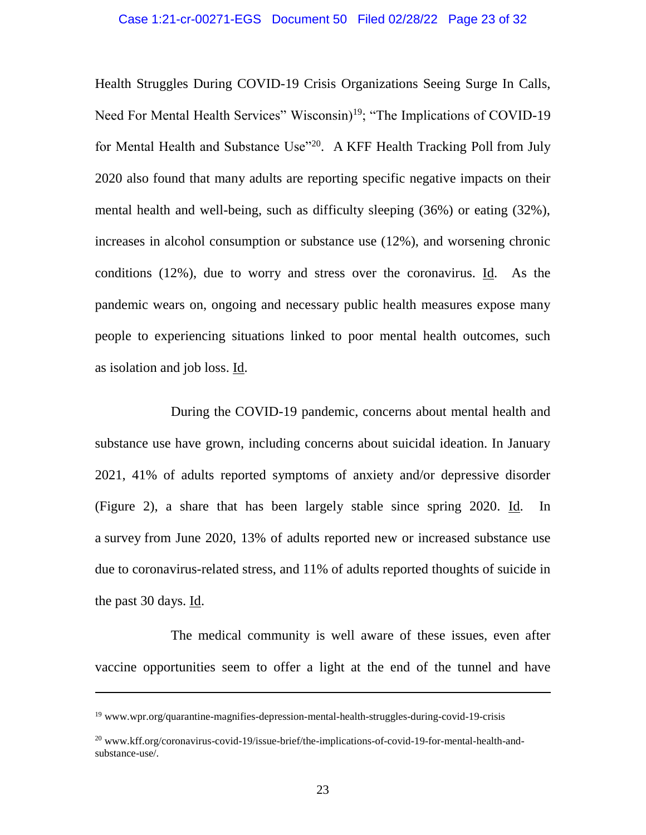Health Struggles During COVID-19 Crisis Organizations Seeing Surge In Calls, Need For Mental Health Services" Wisconsin)<sup>19</sup>; "The Implications of COVID-19 for Mental Health and Substance Use"<sup>20</sup>. A KFF Health [Tracking](https://www.kff.org/coronavirus-covid-19/report/kff-health-tracking-poll-july-2020/) Poll from July 2020 also found that many adults are reporting specific negative impacts on their mental health and well-being, such as difficulty sleeping (36%) or eating (32%), increases in alcohol consumption or substance use (12%), and worsening chronic conditions (12%), due to worry and stress over the coronavirus. Id. As the pandemic wears on, ongoing and necessary public health measures expose many people to experiencing situations linked to poor mental health outcomes, such as [isolation](https://www.cdc.gov/mentalhealth/learn/index.htm) and job [loss.](https://www.cdc.gov/violenceprevention/suicide/riskprotectivefactors.html) Id.

During the COVID-19 pandemic, concerns about mental health and substance use have grown, including concerns about suicidal ideation. In January 2021, 41% of adults reported symptoms of anxiety and/or depressive disorder (Figure 2), a share that has been largely stable since spring 2020. Id. In a [survey](https://www.cdc.gov/mmwr/volumes/69/wr/mm6932a1.htm?s_cid=mm6932a1_w) from June 2020, 13% of adults reported new or increased substance use due to coronavirus-related stress, and 11% of adults reported thoughts of suicide in the past 30 days.  $\underline{Id}$ .

The medical community is well aware of these issues, even after vaccine opportunities seem to offer a light at the end of the tunnel and have

 $19$  [www.wpr.org/quarantine-magnifies-depression-mental-health-struggles-during-covid-19-crisis](http://www.wpr.org/quarantine-magnifies-depression-mental-health-struggles-during-covid-19-crisis)

<sup>&</sup>lt;sup>20</sup> www.kff.org/coronavirus-covid-19/issue-brief/the-implications-of-covid-19-for-mental-health-andsubstance-use/.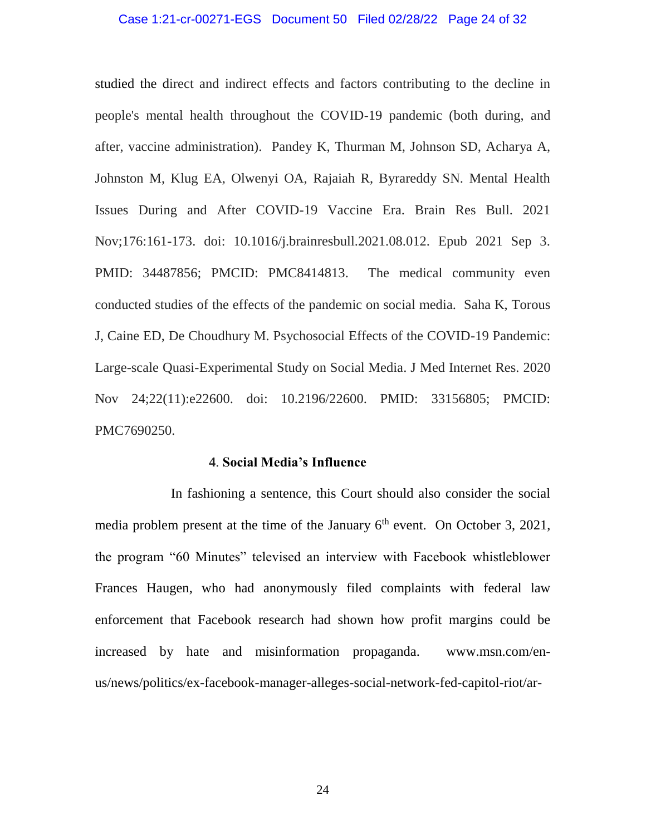#### Case 1:21-cr-00271-EGS Document 50 Filed 02/28/22 Page 24 of 32

studied the direct and indirect effects and factors contributing to the decline in people's mental health throughout the COVID-19 pandemic (both during, and after, vaccine administration). Pandey K, Thurman M, Johnson SD, Acharya A, Johnston M, Klug EA, Olwenyi OA, Rajaiah R, Byrareddy SN. Mental Health Issues During and After COVID-19 Vaccine Era. Brain Res Bull. 2021 Nov;176:161-173. doi: 10.1016/j.brainresbull.2021.08.012. Epub 2021 Sep 3. PMID: 34487856; PMCID: PMC8414813. The medical community even conducted studies of the effects of the pandemic on social media. Saha K, Torous J, Caine ED, De Choudhury M. Psychosocial Effects of the COVID-19 Pandemic: Large-scale Quasi-Experimental Study on Social Media. J Med Internet Res. 2020 Nov 24;22(11):e22600. doi: 10.2196/22600. PMID: 33156805; PMCID: PMC7690250.

#### **4**. **Social Media's Influence**

In fashioning a sentence, this Court should also consider the social media problem present at the time of the January  $6<sup>th</sup>$  event. On October 3, 2021, the program "60 Minutes" televised an interview with Facebook whistleblower Frances Haugen, who had anonymously filed complaints with federal law enforcement that Facebook research had shown how profit margins could be increased by hate and misinformation propaganda. [www.msn.com/en](http://www.msn.com/en-us/news/politics/ex-facebook-manager-alleges-social-network-fed-capitol-riot/ar-AAP6yef?ocid=msedgntp)[us/news/politics/ex-facebook-manager-alleges-social-network-fed-capitol-riot/ar-](http://www.msn.com/en-us/news/politics/ex-facebook-manager-alleges-social-network-fed-capitol-riot/ar-AAP6yef?ocid=msedgntp)

24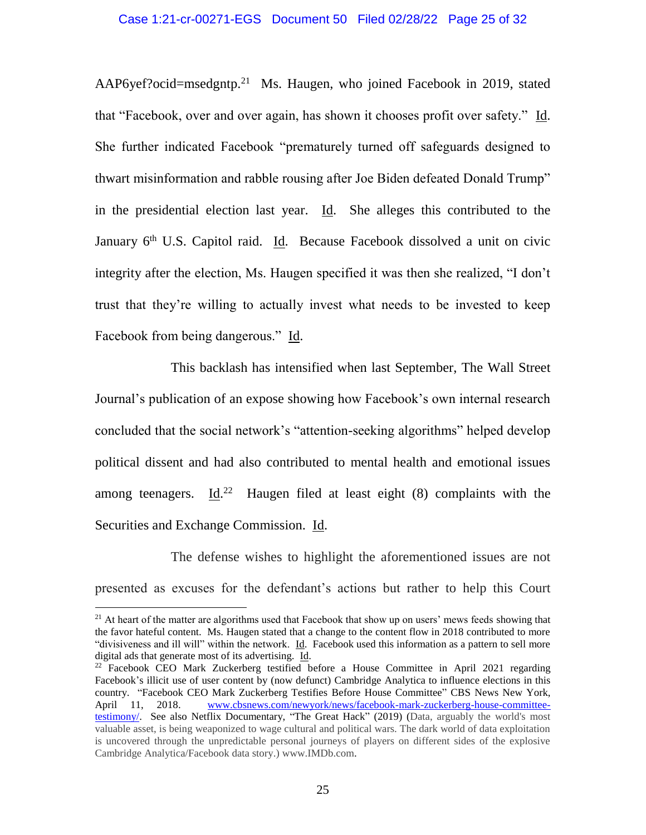[AAP6yef?ocid=msedgntp.](http://www.msn.com/en-us/news/politics/ex-facebook-manager-alleges-social-network-fed-capitol-riot/ar-AAP6yef?ocid=msedgntp)<sup>21</sup> Ms. Haugen, who joined Facebook in 2019, stated that "Facebook, over and over again, has shown it chooses profit over safety." Id. She further indicated Facebook "prematurely turned off safeguards designed to thwart misinformation and rabble rousing after Joe Biden defeated Donald Trump" in the presidential election last year. Id. She alleges this contributed to the January  $6<sup>th</sup>$  U.S. Capitol raid. Id. Because Facebook dissolved a unit on civic integrity after the election, Ms. Haugen specified it was then she realized, "I don't trust that they're willing to actually invest what needs to be invested to keep Facebook from being dangerous." Id.

This backlash has intensified when last September, The Wall Street Journal's publication of an expose showing how Facebook's own internal research concluded that the social network's "attention-seeking algorithms" helped develop political dissent and had also contributed to mental health and emotional issues among teenagers.  $\underline{Id}^{22}$  Haugen filed at least eight (8) complaints with the Securities and Exchange Commission. Id.

The defense wishes to highlight the aforementioned issues are not presented as excuses for the defendant's actions but rather to help this Court

 $21$  At heart of the matter are algorithms used that Facebook that show up on users' mews feeds showing that the favor hateful content. Ms. Haugen stated that a change to the content flow in 2018 contributed to more "divisiveness and ill will" within the network. Id. Facebook used this information as a pattern to sell more digital ads that generate most of its advertising. Id.

<sup>&</sup>lt;sup>22</sup> Facebook CEO Mark Zuckerberg testified before a House Committee in April 2021 regarding Facebook's illicit use of user content by (now defunct) Cambridge Analytica to influence elections in this country. "Facebook CEO Mark Zuckerberg Testifies Before House Committee" CBS News New York, April 11, 2018. [www.cbsnews.com/newyork/news/facebook-mark-zuckerberg-house-committee](http://www.cbsnews.com/newyork/news/facebook-mark-zuckerberg-house-committee-testimony/)[testimony/.](http://www.cbsnews.com/newyork/news/facebook-mark-zuckerberg-house-committee-testimony/) See also Netflix Documentary, "The Great Hack" (2019) (Data, arguably the world's most valuable asset, is being weaponized to wage cultural and political wars. The dark world of data exploitation is uncovered through the unpredictable personal journeys of players on different sides of the explosive Cambridge Analytica/Facebook data story.) www.IMDb.com.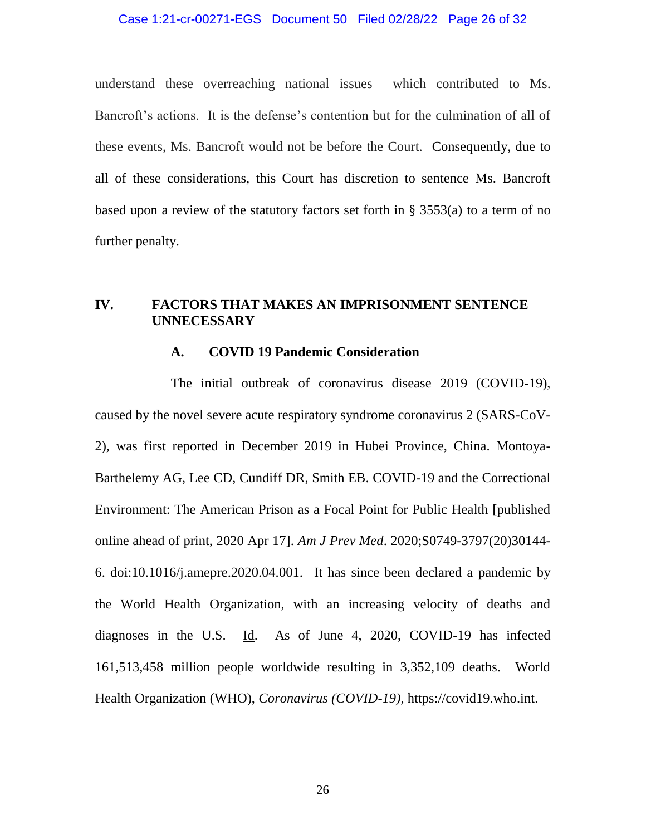#### Case 1:21-cr-00271-EGS Document 50 Filed 02/28/22 Page 26 of 32

understand these overreaching national issues which contributed to Ms. Bancroft's actions. It is the defense's contention but for the culmination of all of these events, Ms. Bancroft would not be before the Court. Consequently, due to all of these considerations, this Court has discretion to sentence Ms. Bancroft based upon a review of the statutory factors set forth in § 3553(a) to a term of no further penalty.

# **IV. FACTORS THAT MAKES AN IMPRISONMENT SENTENCE UNNECESSARY**

#### **A. COVID 19 Pandemic Consideration**

The initial outbreak of coronavirus disease 2019 (COVID-19), caused by the novel severe acute respiratory syndrome coronavirus 2 (SARS-CoV-2), was first reported in December 2019 in Hubei Province, China. Montoya-Barthelemy AG, Lee CD, Cundiff DR, Smith EB. COVID-19 and the Correctional Environment: The American Prison as a Focal Point for Public Health [published online ahead of print, 2020 Apr 17]. *Am J Prev Med*. 2020;S0749-3797(20)30144- 6. doi:10.1016/j.amepre.2020.04.001. It has since been declared a pandemic by the World Health Organization, with an increasing velocity of deaths and diagnoses in the U.S. Id. As of June 4, 2020, COVID-19 has infected 161,513,458 million people worldwide resulting in 3,352,109 deaths. World Health Organization (WHO), *Coronavirus (COVID-19),* https://covid19.who.int.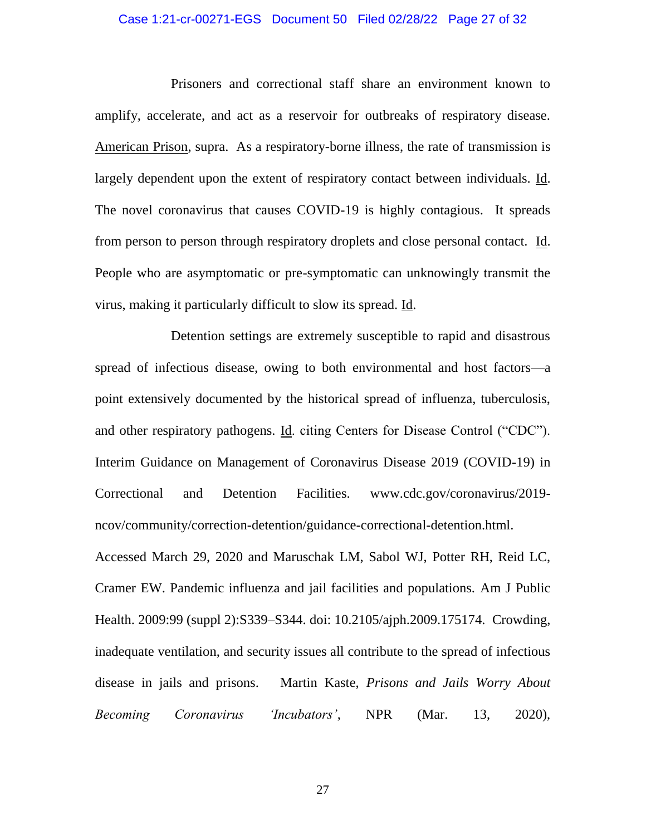#### Case 1:21-cr-00271-EGS Document 50 Filed 02/28/22 Page 27 of 32

Prisoners and correctional staff share an environment known to amplify, accelerate, and act as a reservoir for outbreaks of respiratory disease. American Prison, supra. As a respiratory-borne illness, the rate of transmission is largely dependent upon the extent of respiratory contact between individuals. Id. The novel coronavirus that causes COVID-19 is highly contagious. It spreads from person to person through respiratory droplets and close personal contact. Id. People who are asymptomatic or pre-symptomatic can unknowingly transmit the virus, making it particularly difficult to slow its spread. Id.

Detention settings are extremely susceptible to rapid and disastrous spread of infectious disease, owing to both environmental and host factors—a point extensively documented by the historical spread of influenza, tuberculosis, and other respiratory pathogens. Id. citing Centers for Disease Control ("CDC"). Interim Guidance on Management of Coronavirus Disease 2019 (COVID-19) in Correctional and Detention Facilities. [www.cdc.gov/coronavirus/2019](http://www.cdc.gov/coronavirus/2019-ncov/community/correction-detention/guidance-correctional-detention.html) [ncov/community/correction-detention/guidance-correctional-detention.html.](http://www.cdc.gov/coronavirus/2019-ncov/community/correction-detention/guidance-correctional-detention.html)

Accessed March 29, 2020 and Maruschak LM, Sabol WJ, Potter RH, Reid LC, Cramer EW. Pandemic influenza and jail facilities and populations. Am J Public Health. 2009:99 (suppl 2):S339–S344. doi: 10.2105/ajph.2009.175174. Crowding, inadequate ventilation, and security issues all contribute to the spread of infectious disease in jails and prisons. Martin Kaste, *Prisons and Jails Worry About Becoming Coronavirus 'Incubators'*, NPR (Mar. 13, 2020),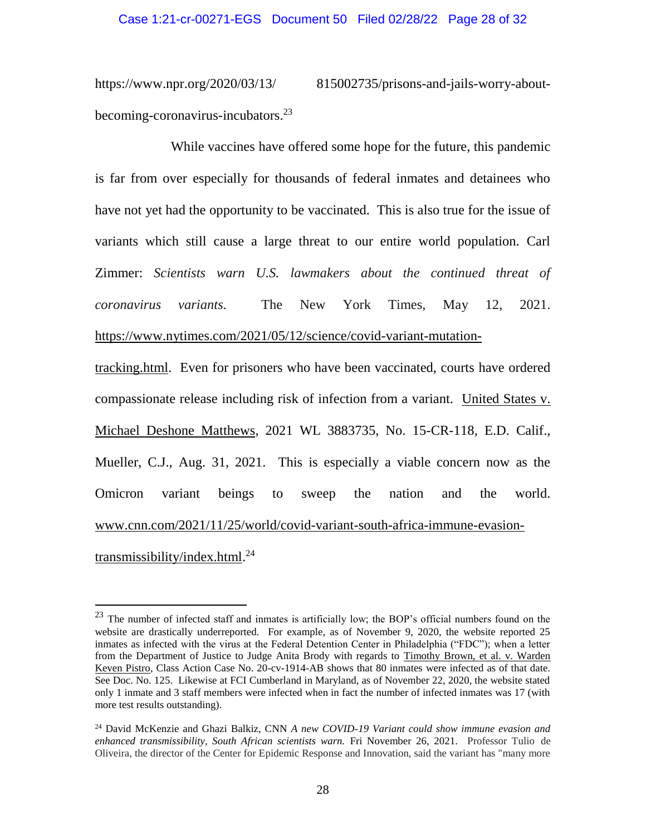https://www.npr.org/2020/03/13/ 815002735/prisons-and-jails-worry-aboutbecoming-coronavirus-incubators.<sup>23</sup>

While vaccines have offered some hope for the future, this pandemic is far from over especially for thousands of federal inmates and detainees who have not yet had the opportunity to be vaccinated. This is also true for the issue of variants which still cause a large threat to our entire world population. Carl Zimmer: *Scientists warn U.S. lawmakers about the continued threat of coronavirus variants.* The New York Times, May 12, 2021. [https://www.nytimes.com/2021/05/12/science/covid-variant-mutation-](https://www.nytimes.com/2021/05/12/science/covid-variant-mutation-tracking.html)

[tracking.html.](https://www.nytimes.com/2021/05/12/science/covid-variant-mutation-tracking.html) Even for prisoners who have been vaccinated, courts have ordered compassionate release including risk of infection from a variant. United States v. Michael Deshone Matthews, 2021 WL 3883735, No. 15-CR-118, E.D. Calif., Mueller, C.J., Aug. 31, 2021. This is especially a viable concern now as the Omicron variant beings to sweep the nation and the world. [www.cnn.com/2021/11/25/world/covid-variant-south-africa-immune-evasion](http://www.cnn.com/2021/11/25/world/covid-variant-south-africa-immune-evasion-transmissibility/index.html)[transmissibility/index.html.](http://www.cnn.com/2021/11/25/world/covid-variant-south-africa-immune-evasion-transmissibility/index.html) 24

<sup>&</sup>lt;sup>23</sup> The number of infected staff and inmates is artificially low; the BOP's official numbers found on the website are drastically underreported. For example, as of November 9, 2020, the website reported 25 inmates as infected with the virus at the Federal Detention Center in Philadelphia ("FDC"); when a letter from the Department of Justice to Judge Anita Brody with regards to Timothy Brown, et al. v. Warden Keven Pistro, Class Action Case No. 20-cv-1914-AB shows that 80 inmates were infected as of that date. See Doc. No. 125. Likewise at FCI Cumberland in Maryland, as of November 22, 2020, the website stated only 1 inmate and 3 staff members were infected when in fact the number of infected inmates was 17 (with more test results outstanding).

<sup>24</sup> David McKenzie and Ghazi Balkiz, CNN *A new COVID-19 Variant could show immune evasion and enhanced transmissibility, South African scientists warn.* Fri November 26, 2021. Professor Tulio de Oliveira, the director of the Center for Epidemic Response and Innovation, said the variant has "many more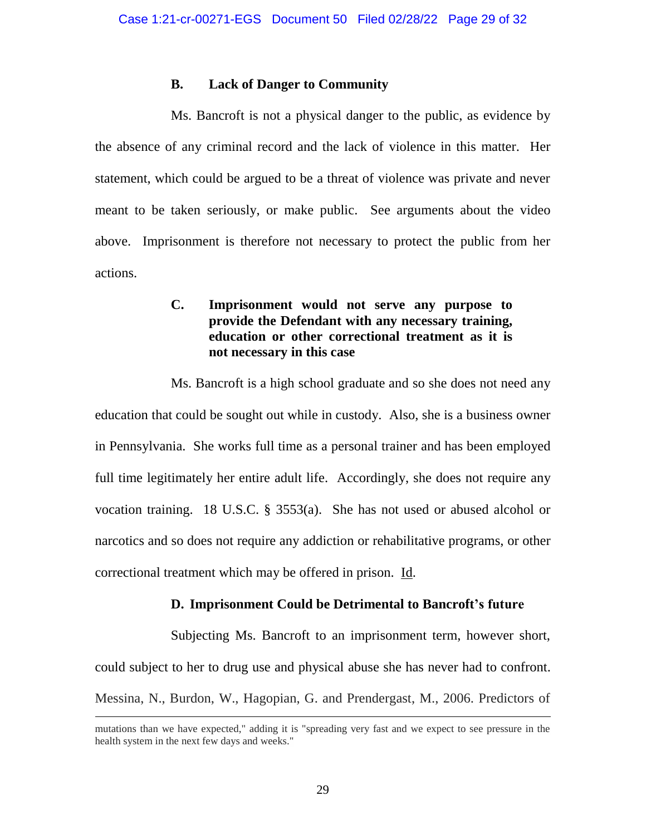# **B. Lack of Danger to Community**

Ms. Bancroft is not a physical danger to the public, as evidence by the absence of any criminal record and the lack of violence in this matter. Her statement, which could be argued to be a threat of violence was private and never meant to be taken seriously, or make public. See arguments about the video above. Imprisonment is therefore not necessary to protect the public from her actions.

# **C. Imprisonment would not serve any purpose to provide the Defendant with any necessary training, education or other correctional treatment as it is not necessary in this case**

Ms. Bancroft is a high school graduate and so she does not need any education that could be sought out while in custody. Also, she is a business owner in Pennsylvania. She works full time as a personal trainer and has been employed full time legitimately her entire adult life. Accordingly, she does not require any vocation training. 18 U.S.C. § 3553(a). She has not used or abused alcohol or narcotics and so does not require any addiction or rehabilitative programs, or other correctional treatment which may be offered in prison. Id.

# **D. Imprisonment Could be Detrimental to Bancroft's future**

Subjecting Ms. Bancroft to an imprisonment term, however short, could subject to her to drug use and physical abuse she has never had to confront. Messina, N., Burdon, W., Hagopian, G. and Prendergast, M., 2006. Predictors of

mutations than we have expected," adding it is "spreading very fast and we expect to see pressure in the health system in the next few days and weeks."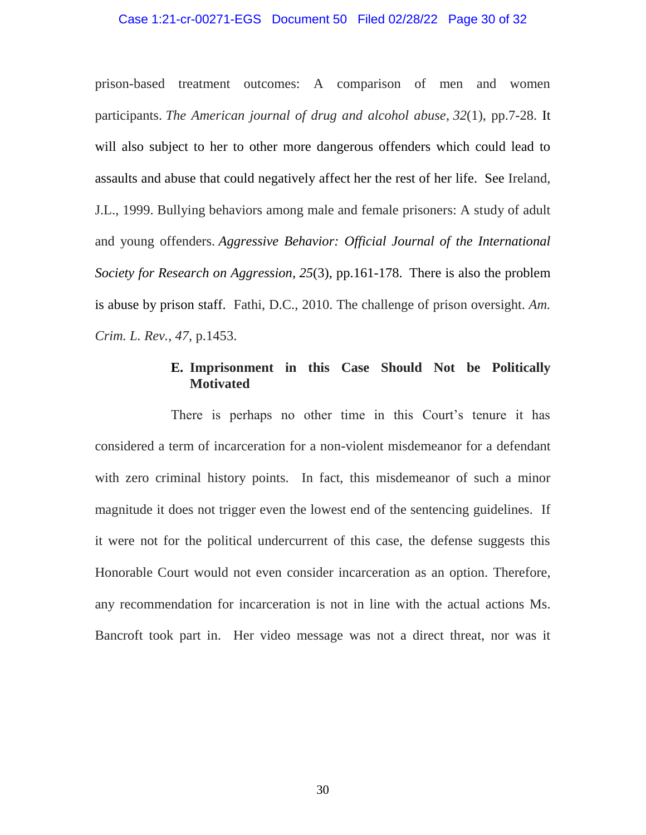#### Case 1:21-cr-00271-EGS Document 50 Filed 02/28/22 Page 30 of 32

prison-based treatment outcomes: A comparison of men and women participants. *The American journal of drug and alcohol abuse*, *32*(1), pp.7-28. It will also subject to her to other more dangerous offenders which could lead to assaults and abuse that could negatively affect her the rest of her life. See Ireland, J.L., 1999. Bullying behaviors among male and female prisoners: A study of adult and young offenders. *Aggressive Behavior: Official Journal of the International Society for Research on Aggression*, *25*(3), pp.161-178. There is also the problem is abuse by prison staff. Fathi, D.C., 2010. The challenge of prison oversight. *Am. Crim. L. Rev.*, *47*, p.1453.

# **E. Imprisonment in this Case Should Not be Politically Motivated**

There is perhaps no other time in this Court's tenure it has considered a term of incarceration for a non-violent misdemeanor for a defendant with zero criminal history points. In fact, this misdemeanor of such a minor magnitude it does not trigger even the lowest end of the sentencing guidelines. If it were not for the political undercurrent of this case, the defense suggests this Honorable Court would not even consider incarceration as an option. Therefore, any recommendation for incarceration is not in line with the actual actions Ms. Bancroft took part in. Her video message was not a direct threat, nor was it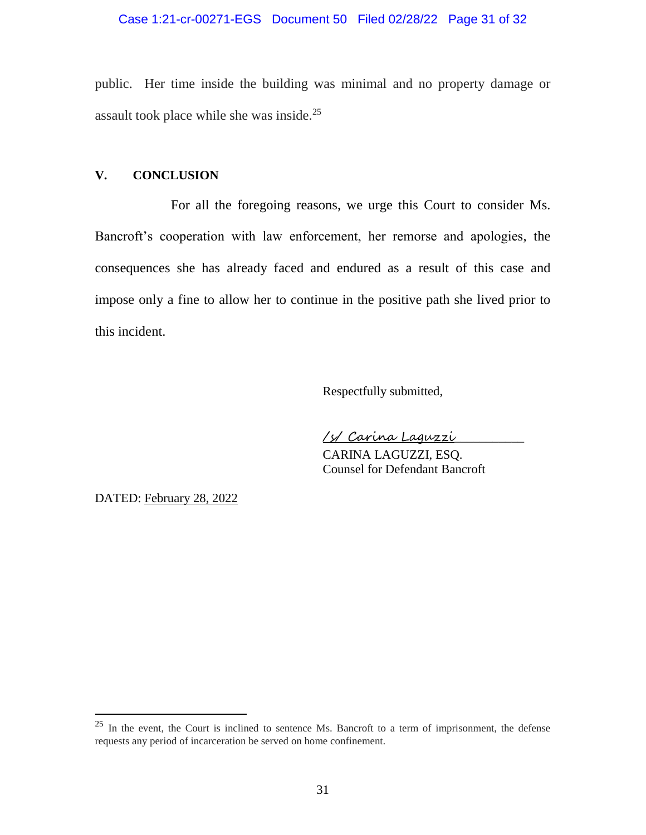# Case 1:21-cr-00271-EGS Document 50 Filed 02/28/22 Page 31 of 32

public. Her time inside the building was minimal and no property damage or assault took place while she was inside.<sup>25</sup>

# **V. CONCLUSION**

For all the foregoing reasons, we urge this Court to consider Ms. Bancroft's cooperation with law enforcement, her remorse and apologies, the consequences she has already faced and endured as a result of this case and impose only a fine to allow her to continue in the positive path she lived prior to this incident.

Respectfully submitted,

/s/ Carina Laguzzi\_\_\_\_\_\_\_\_\_\_\_

CARINA LAGUZZI, ESQ. Counsel for Defendant Bancroft

DATED: February 28, 2022

<sup>25</sup> In the event, the Court is inclined to sentence Ms. Bancroft to a term of imprisonment, the defense requests any period of incarceration be served on home confinement.